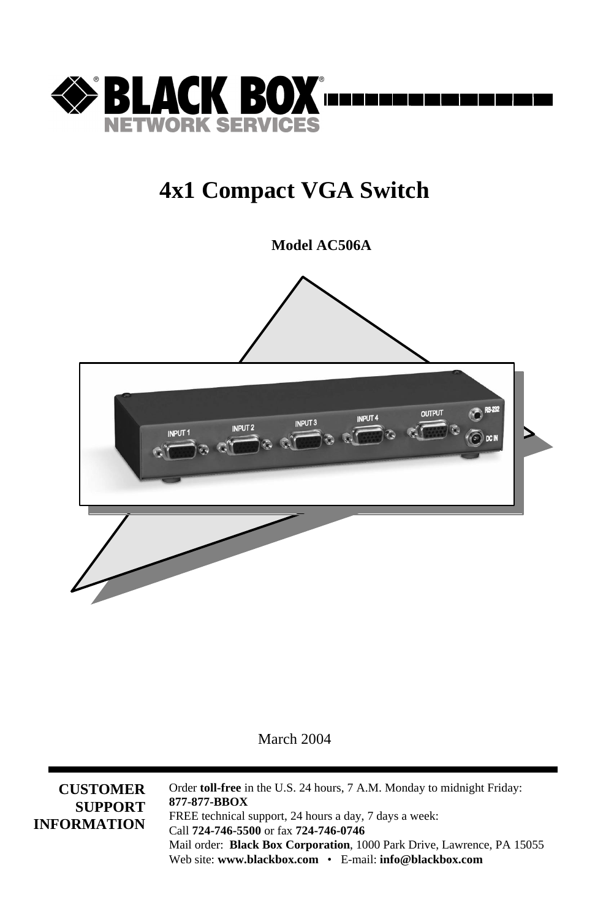

### **4x1 Compact VGA Switch**

**Model AC506A**



March 2004

**CUSTOMER SUPPORT INFORMATION** Order **toll-free** in the U.S. 24 hours, 7 A.M. Monday to midnight Friday: **877-877-BBOX** FREE technical support, 24 hours a day, 7 days a week: Call **724-746-5500** or fax **724-746-0746** Mail order: **Black Box Corporation**, 1000 Park Drive, Lawrence, PA 15055 Web site: **www.blackbox.com** • E-mail: **info@blackbox.com**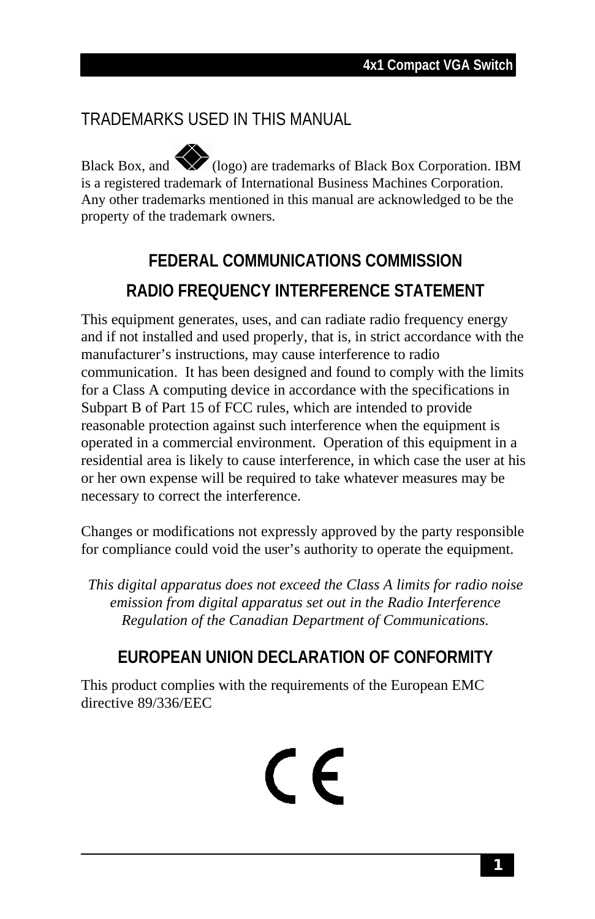### TRADEMARKS USED IN THIS MANUAL

Black Box, and  $\sum$  (logo) are trademarks of Black Box Corporation. IBM is a registered trademark of International Business Machines Corporation. Any other trademarks mentioned in this manual are acknowledged to be the property of the trademark owners.

### **FEDERAL COMMUNICATIONS COMMISSION RADIO FREQUENCY INTERFERENCE STATEMENT**

This equipment generates, uses, and can radiate radio frequency energy and if not installed and used properly, that is, in strict accordance with the manufacturer's instructions, may cause interference to radio communication. It has been designed and found to comply with the limits for a Class A computing device in accordance with the specifications in Subpart B of Part 15 of FCC rules, which are intended to provide reasonable protection against such interference when the equipment is operated in a commercial environment. Operation of this equipment in a residential area is likely to cause interference, in which case the user at his or her own expense will be required to take whatever measures may be necessary to correct the interference.

Changes or modifications not expressly approved by the party responsible for compliance could void the user's authority to operate the equipment.

*This digital apparatus does not exceed the Class A limits for radio noise emission from digital apparatus set out in the Radio Interference Regulation of the Canadian Department of Communications.*

### **EUROPEAN UNION DECLARATION OF CONFORMITY**

This product complies with the requirements of the European EMC directive 89/336/EEC

# $\epsilon$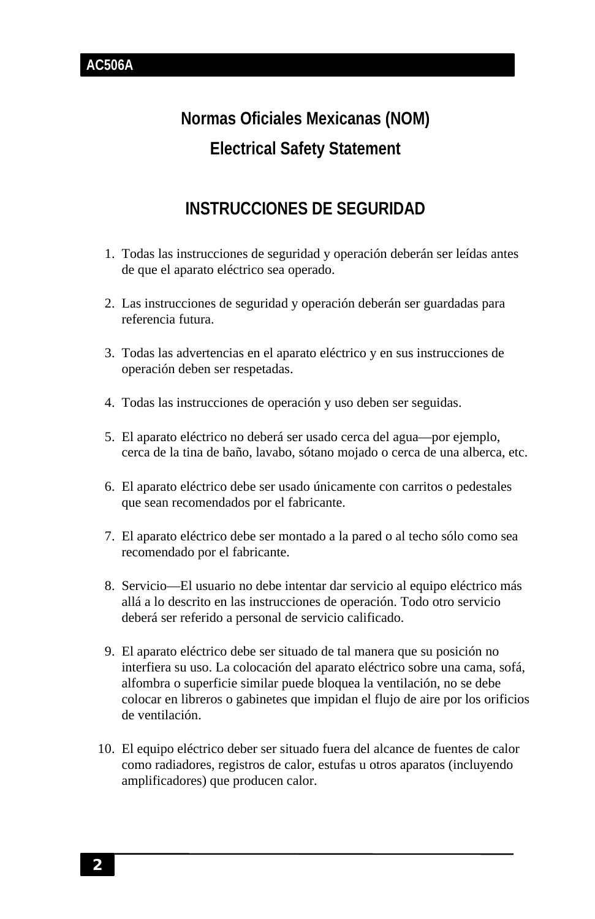### **Normas Oficiales Mexicanas (NOM) Electrical Safety Statement**

### **INSTRUCCIONES DE SEGURIDAD**

- 1. Todas las instrucciones de seguridad y operación deberán ser leídas antes de que el aparato eléctrico sea operado.
- 2. Las instrucciones de seguridad y operación deberán ser guardadas para referencia futura.
- 3. Todas las advertencias en el aparato eléctrico y en sus instrucciones de operación deben ser respetadas.
- 4. Todas las instrucciones de operación y uso deben ser seguidas.
- 5. El aparato eléctrico no deberá ser usado cerca del agua—por ejemplo, cerca de la tina de baño, lavabo, sótano mojado o cerca de una alberca, etc.
- 6. El aparato eléctrico debe ser usado únicamente con carritos o pedestales que sean recomendados por el fabricante.
- 7. El aparato eléctrico debe ser montado a la pared o al techo sólo como sea recomendado por el fabricante.
- 8. Servicio—El usuario no debe intentar dar servicio al equipo eléctrico más allá a lo descrito en las instrucciones de operación. Todo otro servicio deberá ser referido a personal de servicio calificado.
- 9. El aparato eléctrico debe ser situado de tal manera que su posición no interfiera su uso. La colocación del aparato eléctrico sobre una cama, sofá, alfombra o superficie similar puede bloquea la ventilación, no se debe colocar en libreros o gabinetes que impidan el flujo de aire por los orificios de ventilación.
- 10. El equipo eléctrico deber ser situado fuera del alcance de fuentes de calor como radiadores, registros de calor, estufas u otros aparatos (incluyendo amplificadores) que producen calor.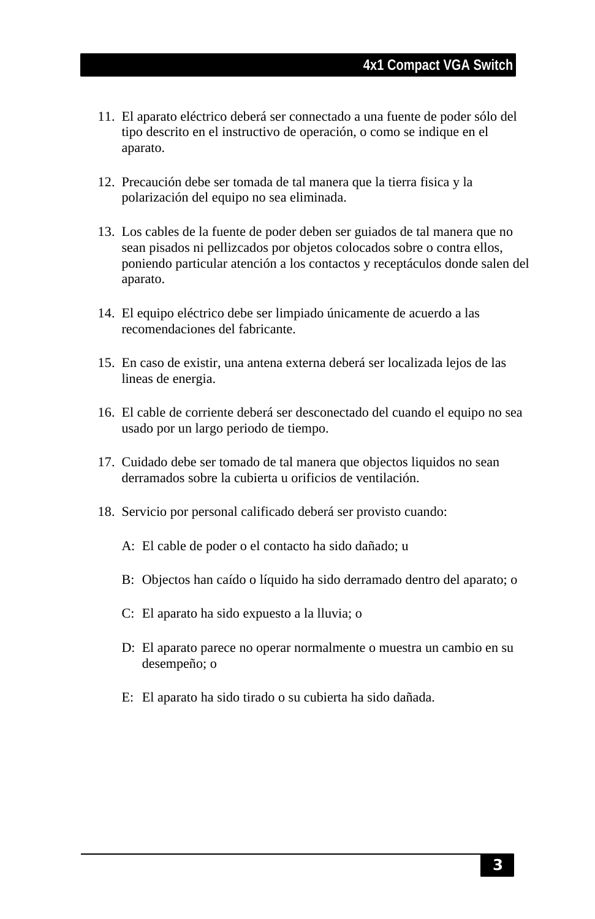- 11. El aparato eléctrico deberá ser connectado a una fuente de poder sólo del tipo descrito en el instructivo de operación, o como se indique en el aparato.
- 12. Precaución debe ser tomada de tal manera que la tierra fisica y la polarización del equipo no sea eliminada.
- 13. Los cables de la fuente de poder deben ser guiados de tal manera que no sean pisados ni pellizcados por objetos colocados sobre o contra ellos, poniendo particular atención a los contactos y receptáculos donde salen del aparato.
- 14. El equipo eléctrico debe ser limpiado únicamente de acuerdo a las recomendaciones del fabricante.
- 15. En caso de existir, una antena externa deberá ser localizada lejos de las lineas de energia.
- 16. El cable de corriente deberá ser desconectado del cuando el equipo no sea usado por un largo periodo de tiempo.
- 17. Cuidado debe ser tomado de tal manera que objectos liquidos no sean derramados sobre la cubierta u orificios de ventilación.
- 18. Servicio por personal calificado deberá ser provisto cuando:
	- A: El cable de poder o el contacto ha sido dañado; u
	- B: Objectos han caído o líquido ha sido derramado dentro del aparato; o
	- C: El aparato ha sido expuesto a la lluvia; o
	- D: El aparato parece no operar normalmente o muestra un cambio en su desempeño; o
	- E: El aparato ha sido tirado o su cubierta ha sido dañada.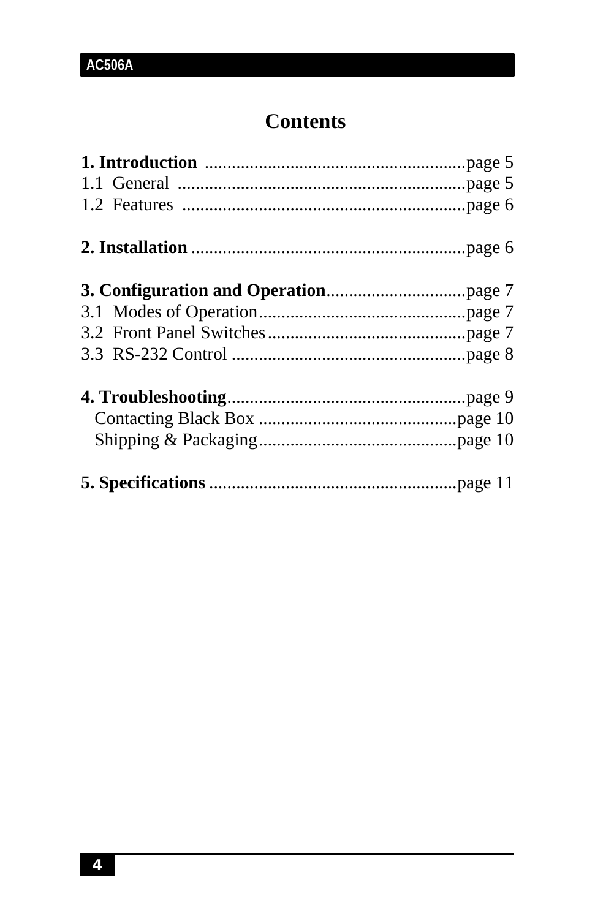### **Contents**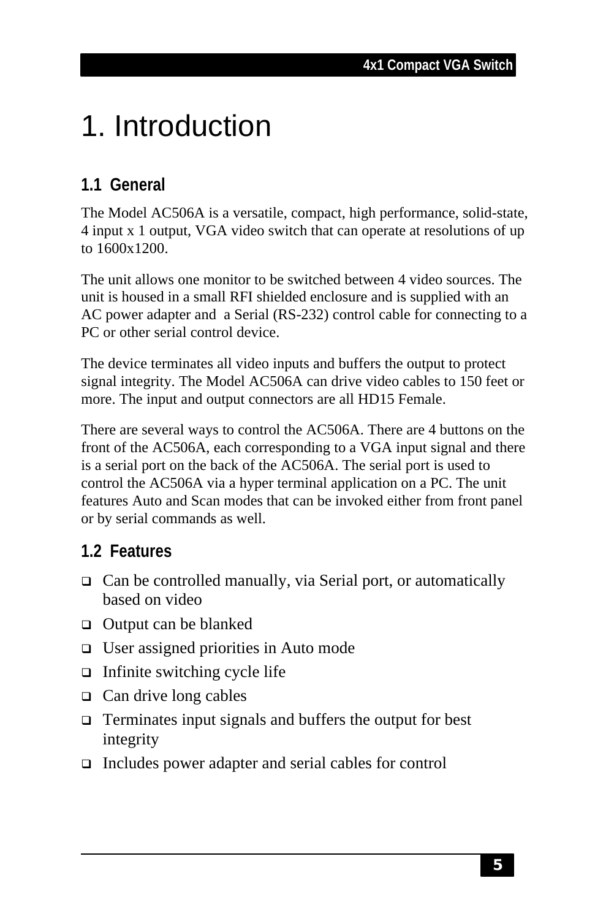# 1. Introduction

### **1.1 General**

The Model AC506A is a versatile, compact, high performance, solid-state, 4 input x 1 output, VGA video switch that can operate at resolutions of up to 1600x1200.

The unit allows one monitor to be switched between 4 video sources. The unit is housed in a small RFI shielded enclosure and is supplied with an AC power adapter and a Serial (RS-232) control cable for connecting to a PC or other serial control device.

The device terminates all video inputs and buffers the output to protect signal integrity. The Model AC506A can drive video cables to 150 feet or more. The input and output connectors are all HD15 Female.

There are several ways to control the AC506A. There are 4 buttons on the front of the AC506A, each corresponding to a VGA input signal and there is a serial port on the back of the AC506A. The serial port is used to control the AC506A via a hyper terminal application on a PC. The unit features Auto and Scan modes that can be invoked either from front panel or by serial commands as well.

### **1.2 Features**

- $\Box$  Can be controlled manually, via Serial port, or automatically based on video
- $\Box$  Output can be blanked
- $\Box$  User assigned priorities in Auto mode
- $\Box$  Infinite switching cycle life
- $\Box$  Can drive long cables
- $\Box$  Terminates input signals and buffers the output for best integrity
- $\Box$  Includes power adapter and serial cables for control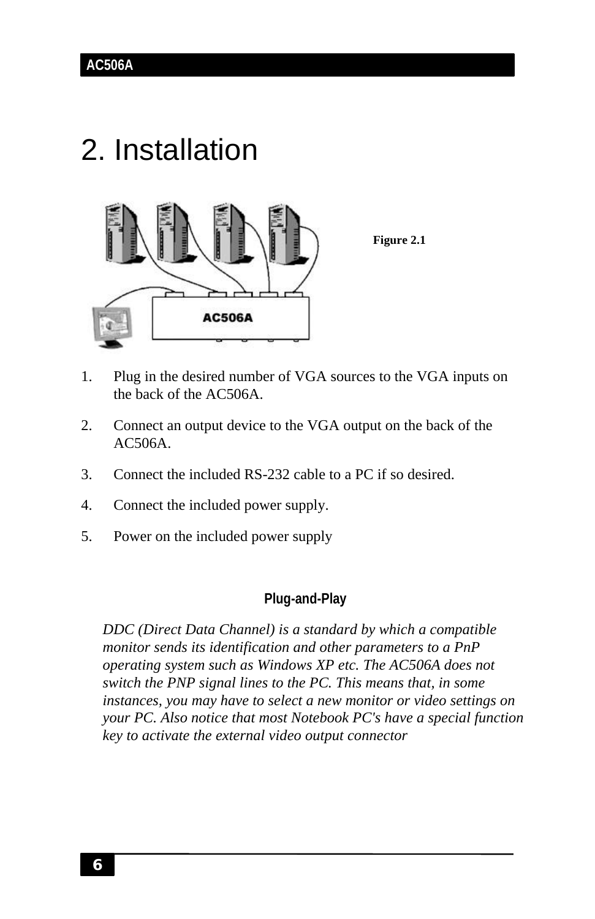## 2. Installation



**Figure 2.1**

- 1. Plug in the desired number of VGA sources to the VGA inputs on the back of the AC506A.
- 2. Connect an output device to the VGA output on the back of the AC506A.
- 3. Connect the included RS-232 cable to a PC if so desired.
- 4. Connect the included power supply.
- 5. Power on the included power supply

#### **Plug-and-Play**

*DDC (Direct Data Channel) is a standard by which a compatible monitor sends its identification and other parameters to a PnP operating system such as Windows XP etc. The AC506A does not switch the PNP signal lines to the PC. This means that, in some instances, you may have to select a new monitor or video settings on your PC. Also notice that most Notebook PC's have a special function key to activate the external video output connector*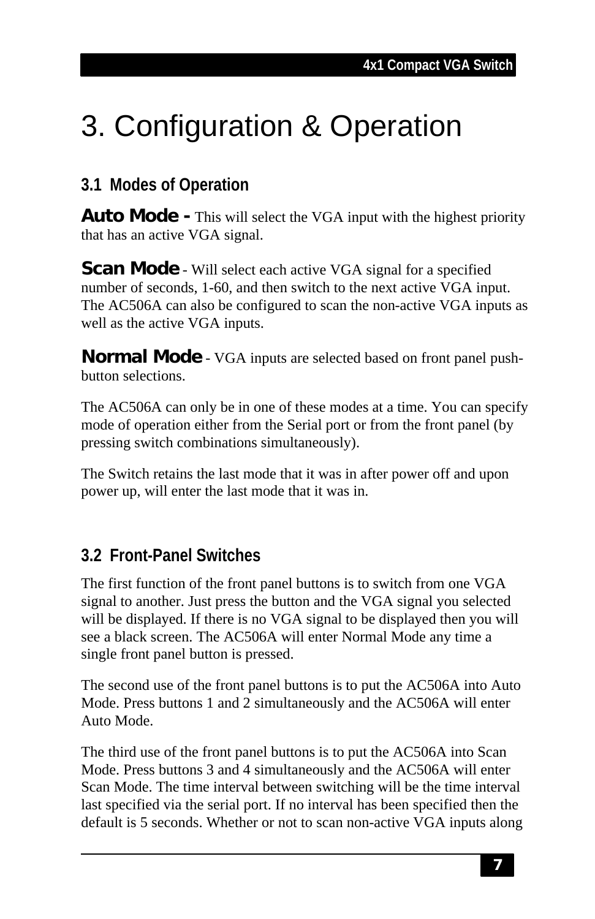# 3. Configuration & Operation

### **3.1 Modes of Operation**

**Auto Mode -** This will select the VGA input with the highest priority that has an active VGA signal.

**Scan Mode** - Will select each active VGA signal for a specified number of seconds, 1-60, and then switch to the next active VGA input. The AC506A can also be configured to scan the non-active VGA inputs as well as the active VGA inputs.

**Normal Mode** - VGA inputs are selected based on front panel pushbutton selections.

The AC506A can only be in one of these modes at a time. You can specify mode of operation either from the Serial port or from the front panel (by pressing switch combinations simultaneously).

The Switch retains the last mode that it was in after power off and upon power up, will enter the last mode that it was in.

### **3.2 Front-Panel Switches**

The first function of the front panel buttons is to switch from one VGA signal to another. Just press the button and the VGA signal you selected will be displayed. If there is no VGA signal to be displayed then you will see a black screen. The AC506A will enter Normal Mode any time a single front panel button is pressed.

The second use of the front panel buttons is to put the AC506A into Auto Mode. Press buttons 1 and 2 simultaneously and the AC506A will enter Auto Mode.

The third use of the front panel buttons is to put the AC506A into Scan Mode. Press buttons 3 and 4 simultaneously and the AC506A will enter Scan Mode. The time interval between switching will be the time interval last specified via the serial port. If no interval has been specified then the default is 5 seconds. Whether or not to scan non-active VGA inputs along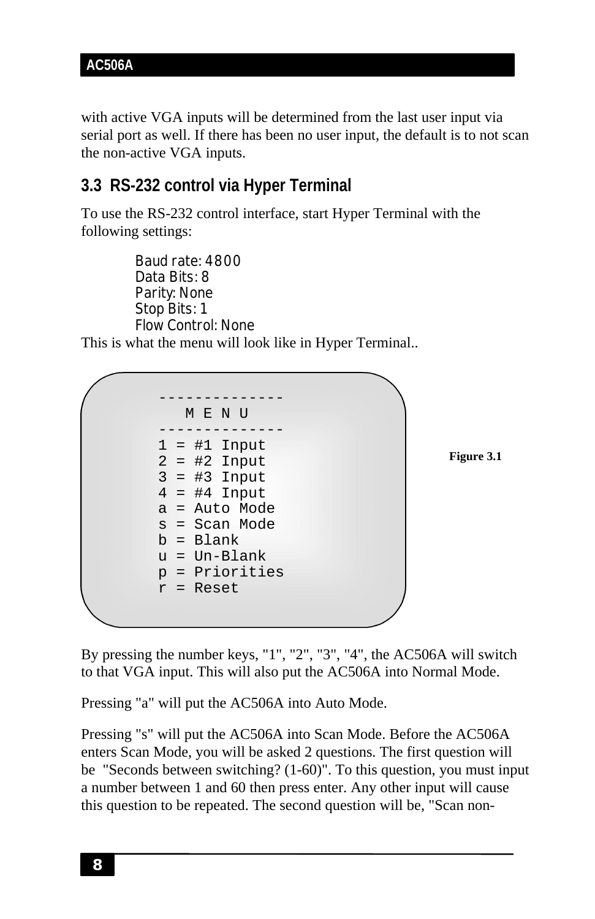with active VGA inputs will be determined from the last user input via serial port as well. If there has been no user input, the default is to not scan the non-active VGA inputs.

### **3.3 RS-232 control via Hyper Terminal**

To use the RS-232 control interface, start Hyper Terminal with the following settings:

Baud rate: 4800 Data Bits: 8 Parity: None Stop Bits: 1 Flow Control: None

This is what the menu will look like in Hyper Terminal..



**Figure 3.1**

By pressing the number keys, "1", "2", "3", "4", the AC506A will switch to that VGA input. This will also put the AC506A into Normal Mode.

Pressing "a" will put the AC506A into Auto Mode.

Pressing "s" will put the AC506A into Scan Mode. Before the AC506A enters Scan Mode, you will be asked 2 questions. The first question will be "Seconds between switching? (1-60)". To this question, you must input a number between 1 and 60 then press enter. Any other input will cause this question to be repeated. The second question will be, "Scan non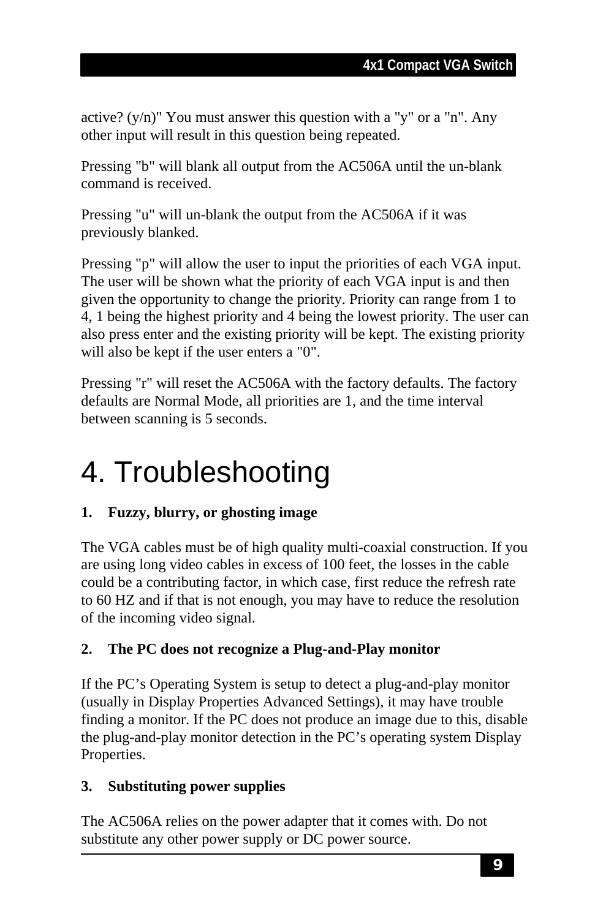active?  $(y/n)$ " You must answer this question with a "y" or a "n". Any other input will result in this question being repeated.

Pressing "b" will blank all output from the AC506A until the un-blank command is received.

Pressing "u" will un-blank the output from the AC506A if it was previously blanked.

Pressing "p" will allow the user to input the priorities of each VGA input. The user will be shown what the priority of each VGA input is and then given the opportunity to change the priority. Priority can range from 1 to 4, 1 being the highest priority and 4 being the lowest priority. The user can also press enter and the existing priority will be kept. The existing priority will also be kept if the user enters a "0".

Pressing "r" will reset the AC506A with the factory defaults. The factory defaults are Normal Mode, all priorities are 1, and the time interval between scanning is 5 seconds.

# 4. Troubleshooting

#### **1. Fuzzy, blurry, or ghosting image**

The VGA cables must be of high quality multi-coaxial construction. If you are using long video cables in excess of 100 feet, the losses in the cable could be a contributing factor, in which case, first reduce the refresh rate to 60 HZ and if that is not enough, you may have to reduce the resolution of the incoming video signal.

#### **2. The PC does not recognize a Plug-and-Play monitor**

If the PC's Operating System is setup to detect a plug-and-play monitor (usually in Display Properties Advanced Settings), it may have trouble finding a monitor. If the PC does not produce an image due to this, disable the plug-and-play monitor detection in the PC's operating system Display Properties.

#### **3. Substituting power supplies**

The AC506A relies on the power adapter that it comes with. Do not substitute any other power supply or DC power source.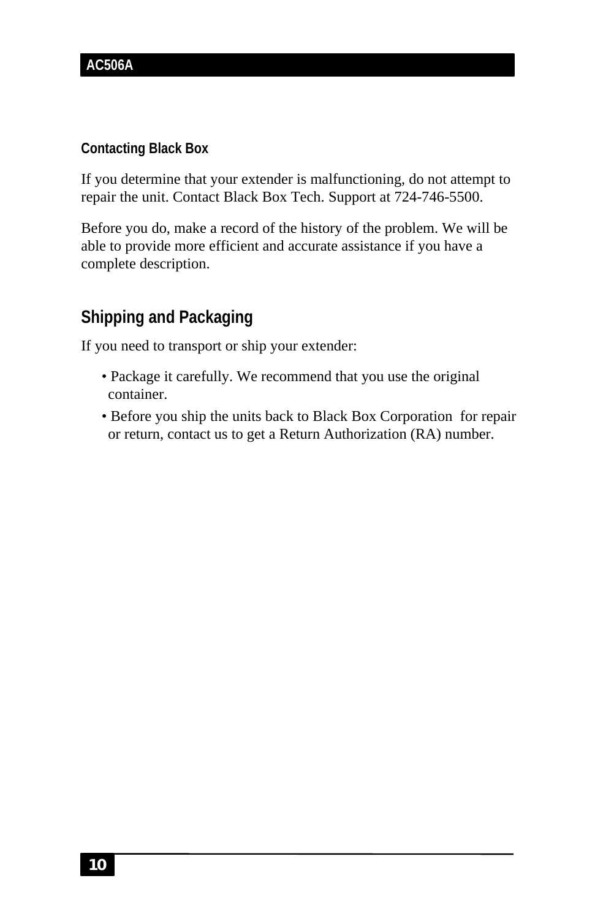#### **Contacting Black Box**

If you determine that your extender is malfunctioning, do not attempt to repair the unit. Contact Black Box Tech. Support at 724-746-5500.

Before you do, make a record of the history of the problem. We will be able to provide more efficient and accurate assistance if you have a complete description.

### **Shipping and Packaging**

If you need to transport or ship your extender:

- Package it carefully. We recommend that you use the original container.
- Before you ship the units back to Black Box Corporation for repair or return, contact us to get a Return Authorization (RA) number.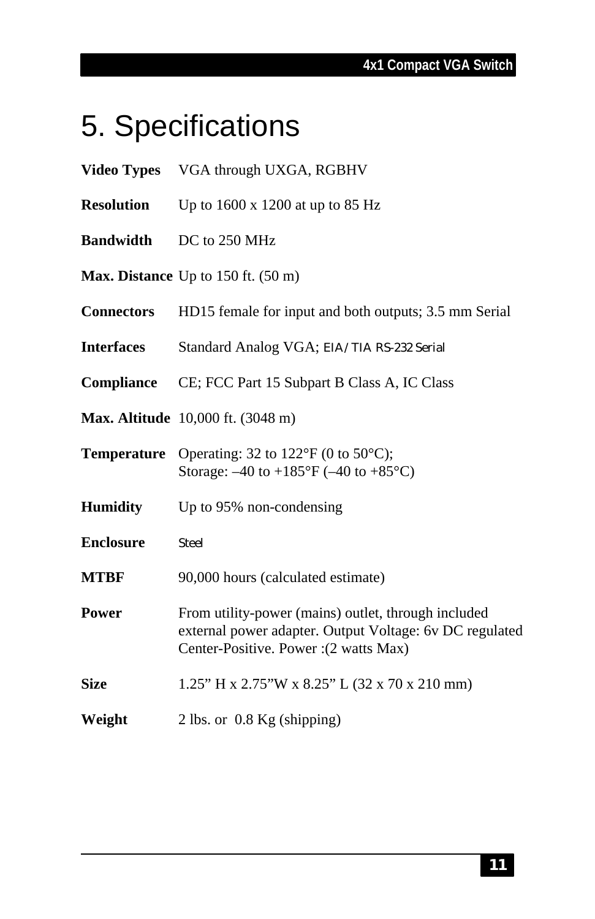### **4x1 Compact VGA Switch**

# 5. Specifications

| <b>Video Types</b> | VGA through UXGA, RGBHV                                                                                                                                  |
|--------------------|----------------------------------------------------------------------------------------------------------------------------------------------------------|
| <b>Resolution</b>  | Up to $1600 \times 1200$ at up to 85 Hz                                                                                                                  |
| <b>Bandwidth</b>   | DC to 250 MHz                                                                                                                                            |
|                    | Max. Distance Up to $150$ ft. $(50 \text{ m})$                                                                                                           |
| <b>Connectors</b>  | HD15 female for input and both outputs; 3.5 mm Serial                                                                                                    |
| <b>Interfaces</b>  | Standard Analog VGA; EIA/TIA RS-232 Serial                                                                                                               |
| Compliance         | CE; FCC Part 15 Subpart B Class A, IC Class                                                                                                              |
|                    | Max. Altitude 10,000 ft. (3048 m)                                                                                                                        |
| <b>Temperature</b> | Operating: 32 to $122^{\circ}F$ (0 to $50^{\circ}C$ );<br>Storage: $-40$ to $+185^{\circ}F$ ( $-40$ to $+85^{\circ}C$ )                                  |
| <b>Humidity</b>    | Up to 95% non-condensing                                                                                                                                 |
| <b>Enclosure</b>   | <b>Steel</b>                                                                                                                                             |
| <b>MTBF</b>        | 90,000 hours (calculated estimate)                                                                                                                       |
| Power              | From utility-power (mains) outlet, through included<br>external power adapter. Output Voltage: 6v DC regulated<br>Center-Positive. Power : (2 watts Max) |
| <b>Size</b>        | 1.25" H x 2.75" W x 8.25" L (32 x 70 x 210 mm)                                                                                                           |
| Weight             | 2 lbs. or 0.8 Kg (shipping)                                                                                                                              |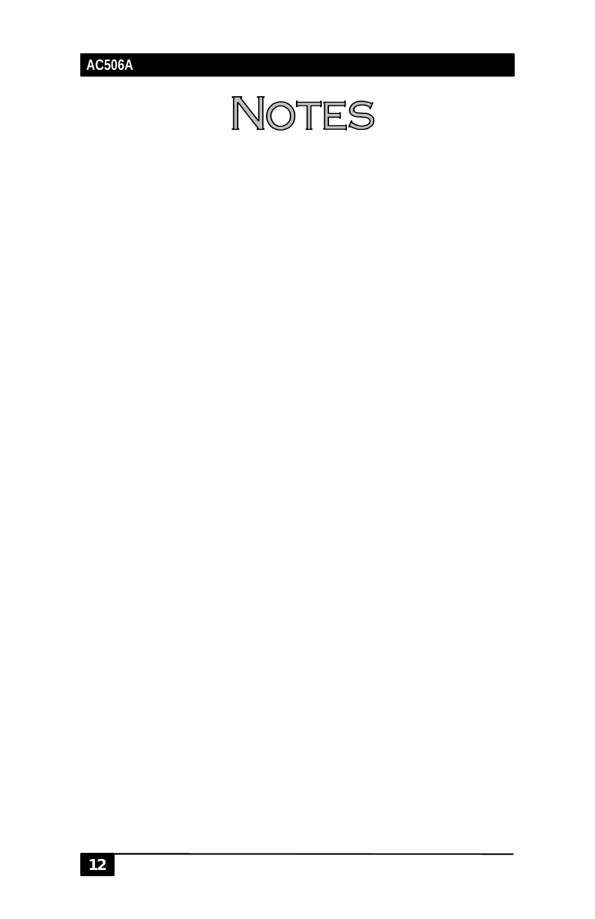